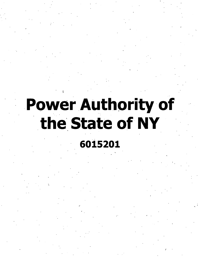# **Power Authority of** the State of NY

# 6015201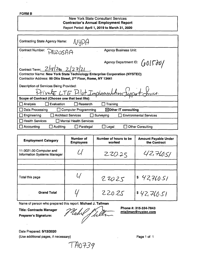#### **FORM B**

## New York State Consultant Services **Contractor's Annual Employment Report** Report Period: **April 1, 2019 to March 31, 2020**

| <b>Contracting State Agency Name:</b>                                                                                                                                                                                                          |                                            |  |  |
|------------------------------------------------------------------------------------------------------------------------------------------------------------------------------------------------------------------------------------------------|--------------------------------------------|--|--|
| <b>Contract Number:</b><br>PAIZOSAA                                                                                                                                                                                                            | <b>Agency Business Unit:</b>               |  |  |
| Agency Department ID: $\left(0015\right)$<br>Contract Term: 2/18/200 2/27/21<br><b>Contractor Name: New York State Technology Enterprise Corporation (NYSTEC)</b><br>Contractor Address: 99 Otis Street, 2 <sup>nd</sup> Floor, Rome, NY 13441 |                                            |  |  |
| Description of Services Being Provided:<br>Private LTE Pilot Implementation Luppat Jerus.                                                                                                                                                      |                                            |  |  |
| Scope of Contract (Choose one that best fits):                                                                                                                                                                                                 |                                            |  |  |
| Research<br>Evaluation<br>$\Box$ Analysis                                                                                                                                                                                                      | Training                                   |  |  |
| Data Processing<br>$\boxtimes$ Other IT consulting<br><b>Computer Programming</b>                                                                                                                                                              |                                            |  |  |
| <b>Architect Services</b><br>Engineering                                                                                                                                                                                                       | Surveying<br><b>Environmental Services</b> |  |  |
| $\Box$ Health Services<br>$\Box$ Mental Health Services                                                                                                                                                                                        |                                            |  |  |
| Auditing<br>Accounting<br>Paralegal                                                                                                                                                                                                            | <b>Other Consulting</b><br>Legal           |  |  |

| <b>Employment Category</b>                                    | <b>Number of</b><br><b>Employees</b> | Number of hours to be<br>worked | <b>Amount Payable Under</b><br>the Contract |
|---------------------------------------------------------------|--------------------------------------|---------------------------------|---------------------------------------------|
| 11-3021.00 Computer and<br><b>Information Systems Manager</b> |                                      | ZZO.25                          | 42,760.51                                   |
|                                                               |                                      |                                 |                                             |
| Total this page                                               |                                      | 220.25                          | \$42,760.51                                 |
| <b>Grand Total</b>                                            |                                      | 220.25                          | 842,76.51                                   |

Name of person who prepared this report; **Michael J. Tallman**

**Title: Contracts Manager Preparer's Signature:**

Michel Jul z **Phone #: 315-334-7843 mtallman@nvstec.com**

Date Prepared: **5/12/2020** (Use additional pages, if necessary) example the contract of the Page 1 of 1

 $TM0739$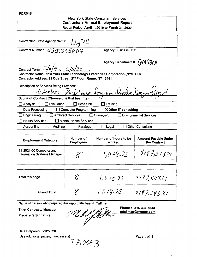#### **FORMB**

# New York **State** Consultant Services **Contractor's Annual Employment Report** Report Period: **April 1,2019 to March 31, 2020**

| <b>Contracting State Agency Name:</b><br>NUPA                                                                                                                  |  |  |  |
|----------------------------------------------------------------------------------------------------------------------------------------------------------------|--|--|--|
| Contract Number: $4500305804$<br><b>Agency Business Unit:</b>                                                                                                  |  |  |  |
| Agency Department ID: (015201<br>Contract Term: $\frac{Z}{6}$ /19 to $\frac{Z}{5}$ / $\frac{Z}{6}$                                                             |  |  |  |
| <b>Contractor Name: New York State Technology Enterprise Corporation (NYSTEC)</b><br>Contractor Address: 99 Otis Street, 2 <sup>nd</sup> Floor, Rome, NY 13441 |  |  |  |
| Description of Services Being Provided:<br>Wreless Backbone Program Prelim Desgn                                                                               |  |  |  |
| Scope of Contract (Choose one that best fits):                                                                                                                 |  |  |  |
| Evaluation<br>$\Box$ Analysis<br>Research<br>Training                                                                                                          |  |  |  |
| Data Processing<br>⊠Other IT consulting<br><b>Computer Programming</b><br>$\mathbf{1}$                                                                         |  |  |  |
| $\Box$ Surveying<br>$\Box$ Engineering<br><b>Architect Services</b><br><b>Environmental Services</b>                                                           |  |  |  |
| <b>Health Services</b><br><b>Mental Health Services</b>                                                                                                        |  |  |  |
| Accounting<br><b>Auditing</b><br><b>Other Consulting</b><br>Paralegal<br>Legal                                                                                 |  |  |  |
|                                                                                                                                                                |  |  |  |

| <b>Employment Category</b>                                    | Number of<br><b>Employees</b> | Number of hours to be<br>worked | <b>Amount Payable Under</b><br>the Contract |
|---------------------------------------------------------------|-------------------------------|---------------------------------|---------------------------------------------|
| 11-3021.00 Computer and<br><b>Information Systems Manager</b> |                               | 1,078.25                        | 3197,543.21                                 |
|                                                               |                               |                                 |                                             |
| Total this page                                               |                               | 1,078.25                        | 8197,543.21                                 |
| <b>Grand Total</b>                                            | Χ                             | 1,078.25                        | 8197,543.21                                 |

Name of person who prepared this report: **Michael J. Tallman**

**Title: Contracts Manager**

**Preparer's Signature:**

*Zubrit ffulle* mtallman@nystec.com

**Phone #: 315-334-7843**

Date Prepared: **5/12/2020**

(Use additional pages, if necessary)  $\overline{177}$   $0653$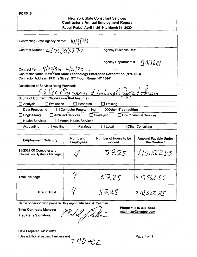#### FORM **B**

| <b>New York State Consultant Services</b><br><b>Contractor's Annual Employment Report</b><br>Report Period: April 1, 2019 to March 31, 2020                                                                                                                                                              |                                            |  |  |
|----------------------------------------------------------------------------------------------------------------------------------------------------------------------------------------------------------------------------------------------------------------------------------------------------------|--------------------------------------------|--|--|
| Contracting State Agency Name: $\sqrt{U\Psi P}$                                                                                                                                                                                                                                                          |                                            |  |  |
| Contract Number: 4500309572                                                                                                                                                                                                                                                                              | <b>Agency Business Unit:</b>               |  |  |
| Agency Department ID: $\int_1 \theta \sqrt{5\theta} d\theta$<br>Contract Term: $\frac{q}{z}$ / $\frac{q}{r}$ to $\frac{q}{z}$ / $\frac{q}{z}$<br>Contractor Name: New York State Technology Enterprise Corporation (NYSTEC)<br>Contractor Address: 99 Otis Street, 2 <sup>nd</sup> Floor, Rome, NY 13441 |                                            |  |  |
| Description of Services Being Provided:<br>Ad Hoc Engineering & Technic Clipport truces<br>Scope of Contract (Choose one that best fits):                                                                                                                                                                |                                            |  |  |
| Evaluation<br>$\Box$ Research<br>Analysis                                                                                                                                                                                                                                                                | Training                                   |  |  |
| Data Processing<br>⊠Other IT consulting<br><b>Computer Programming</b>                                                                                                                                                                                                                                   |                                            |  |  |
| <b>Architect Services</b><br>Engineering                                                                                                                                                                                                                                                                 | <b>Environmental Services</b><br>Surveying |  |  |
| <b>Health Services</b><br><b>Mental Health Services</b>                                                                                                                                                                                                                                                  |                                            |  |  |
| Auditing<br>Accounting<br>Paralegal                                                                                                                                                                                                                                                                      | <b>Other Consulting</b><br>Legal           |  |  |

| <b>Employment Category</b>                                    | Number of<br><b>Employees</b> | Number of hours to be<br>worked | <b>Amount Payable Under</b><br>the Contract |
|---------------------------------------------------------------|-------------------------------|---------------------------------|---------------------------------------------|
| 11-3021.00 Computer and<br><b>Information Systems Manager</b> |                               | 57.25                           | 10,56285                                    |
|                                                               |                               |                                 |                                             |
| Total this page                                               |                               | 57.25                           | \$10,562.85                                 |
| <b>Grand Total</b>                                            |                               | 57.25                           | \$10,562.85                                 |

Name of person who prepared this report: Michael J. Tallman

Title: Contracts Manager Preparer's Signature:

Pluchel Stallen

Phone #: 315-334-7843 [mtallman@nvstec.com](mailto:mtallman@nvstec.com)

Date Prepared: 5/12/2020 (Use additional pages, if necessary)  $\overline{A}$   $\overline{A}$   $\overline{B}$   $\overline{C}$   $\overline{D}$   $\overline{D}$   $\overline{D}$   $\overline{D}$   $\overline{D}$   $\overline{D}$   $\overline{D}$   $\overline{D}$   $\overline{D}$   $\overline{D}$   $\overline{D}$   $\overline{D}$   $\overline{D}$   $\overline{D}$   $\overline{D}$   $\overline{D}$   $\overline$ 

*7^D7{)z.*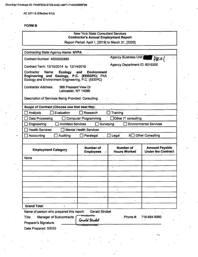AC 3271-S (Effective 4/12)

# **FORMB**

| <b>New York State Consultant Services</b><br><b>Contractor's Annual Employment Report</b>                                                |                                                    |                                         |                                                    |
|------------------------------------------------------------------------------------------------------------------------------------------|----------------------------------------------------|-----------------------------------------|----------------------------------------------------|
|                                                                                                                                          | Report Period: April 1, [2019] to March 31, [2020] |                                         |                                                    |
| <b>Contracting State Agency Name: NYPA</b>                                                                                               |                                                    |                                         |                                                    |
| Contract Number: 4600002885                                                                                                              |                                                    | <b>Agency Business Unit:</b>            | PBCO                                               |
| Contract Term: 12/15/2014 to 12/14/2019                                                                                                  |                                                    | Agency Department ID: 6015200           |                                                    |
| Contractor<br>Name:<br><b>Ecology</b><br>Engineering and Geology, P.C. (EEEGPC) FKA<br>Ecology and Environment Engineering, P.C. (EEEPC) | <b>Environment</b><br>and                          |                                         |                                                    |
| <b>Contractor Address:</b><br>368 Pleasant View Dr<br>Lancaster, NY 14086                                                                |                                                    |                                         |                                                    |
| Description of Services Being Provided: Consulting                                                                                       |                                                    |                                         |                                                    |
| Scope of Contract (Choose one that best fits):                                                                                           |                                                    |                                         |                                                    |
| Evaluation<br>Analysis                                                                                                                   | Research                                           | Training                                |                                                    |
| Data Processing                                                                                                                          | <b>Computer Programming</b>                        | Other IT consulting                     |                                                    |
| <b>Architect Services</b><br>Engineering                                                                                                 | Surveying                                          |                                         | <b>Environmental Services</b>                      |
| <b>Health Services</b>                                                                                                                   | <b>Mental Health Services</b>                      |                                         |                                                    |
| Accounting<br>Auditing                                                                                                                   | Paralegal                                          | Legal<br>Χ□                             | <b>Other Consulting</b>                            |
|                                                                                                                                          |                                                    |                                         |                                                    |
| <b>Employment Category</b>                                                                                                               | <b>Number of</b><br><b>Employees</b><br>r          | <b>Number of</b><br><b>Hours Worked</b> | <b>Amount Payable</b><br><b>Under the Contract</b> |
| None                                                                                                                                     |                                                    |                                         |                                                    |
|                                                                                                                                          |                                                    |                                         |                                                    |
|                                                                                                                                          |                                                    |                                         |                                                    |
|                                                                                                                                          |                                                    |                                         |                                                    |
|                                                                                                                                          |                                                    |                                         |                                                    |
|                                                                                                                                          |                                                    |                                         |                                                    |
|                                                                                                                                          |                                                    |                                         |                                                    |
|                                                                                                                                          |                                                    |                                         |                                                    |
| <b>Grand Total</b><br>$\lambda$                                                                                                          |                                                    |                                         |                                                    |
| Name of person who prepared this report:                                                                                                 | <b>Gerald Strobel</b>                              |                                         |                                                    |
| DocuSigned by:<br>Phone #:<br>Title:<br><b>Manager of Subcontracts</b><br>716-684 8060                                                   |                                                    |                                         |                                                    |
| Preparer's Signature:                                                                                                                    | Gerald Strobel                                     |                                         |                                                    |
| Date Prepared: 5/5/20                                                                                                                    | <b>DEGESIDI K7 E54BA</b>                           |                                         |                                                    |